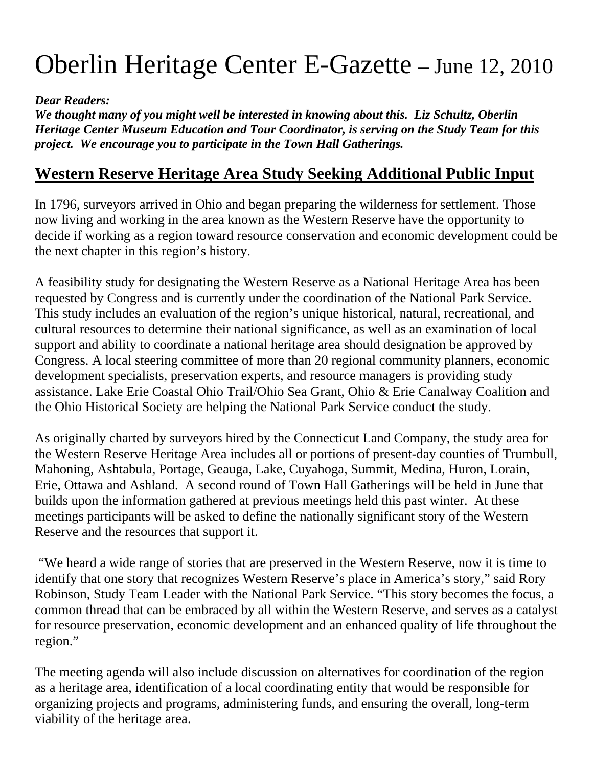## Oberlin Heritage Center E-Gazette – June 12, 2010

## *Dear Readers:*

*We thought many of you might well be interested in knowing about this. Liz Schultz, Oberlin Heritage Center Museum Education and Tour Coordinator, is serving on the Study Team for this project. We encourage you to participate in the Town Hall Gatherings.* 

## **Western Reserve Heritage Area Study Seeking Additional Public Input**

In 1796, surveyors arrived in Ohio and began preparing the wilderness for settlement. Those now living and working in the area known as the Western Reserve have the opportunity to decide if working as a region toward resource conservation and economic development could be the next chapter in this region's history.

A feasibility study for designating the Western Reserve as a National Heritage Area has been requested by Congress and is currently under the coordination of the National Park Service. This study includes an evaluation of the region's unique historical, natural, recreational, and cultural resources to determine their national significance, as well as an examination of local support and ability to coordinate a national heritage area should designation be approved by Congress. A local steering committee of more than 20 regional community planners, economic development specialists, preservation experts, and resource managers is providing study assistance. Lake Erie Coastal Ohio Trail/Ohio Sea Grant, Ohio & Erie Canalway Coalition and the Ohio Historical Society are helping the National Park Service conduct the study.

As originally charted by surveyors hired by the Connecticut Land Company, the study area for the Western Reserve Heritage Area includes all or portions of present-day counties of Trumbull, Mahoning, Ashtabula, Portage, Geauga, Lake, Cuyahoga, Summit, Medina, Huron, Lorain, Erie, Ottawa and Ashland. A second round of Town Hall Gatherings will be held in June that builds upon the information gathered at previous meetings held this past winter. At these meetings participants will be asked to define the nationally significant story of the Western Reserve and the resources that support it.

 "We heard a wide range of stories that are preserved in the Western Reserve, now it is time to identify that one story that recognizes Western Reserve's place in America's story," said Rory Robinson, Study Team Leader with the National Park Service. "This story becomes the focus, a common thread that can be embraced by all within the Western Reserve, and serves as a catalyst for resource preservation, economic development and an enhanced quality of life throughout the region."

The meeting agenda will also include discussion on alternatives for coordination of the region as a heritage area, identification of a local coordinating entity that would be responsible for organizing projects and programs, administering funds, and ensuring the overall, long-term viability of the heritage area.